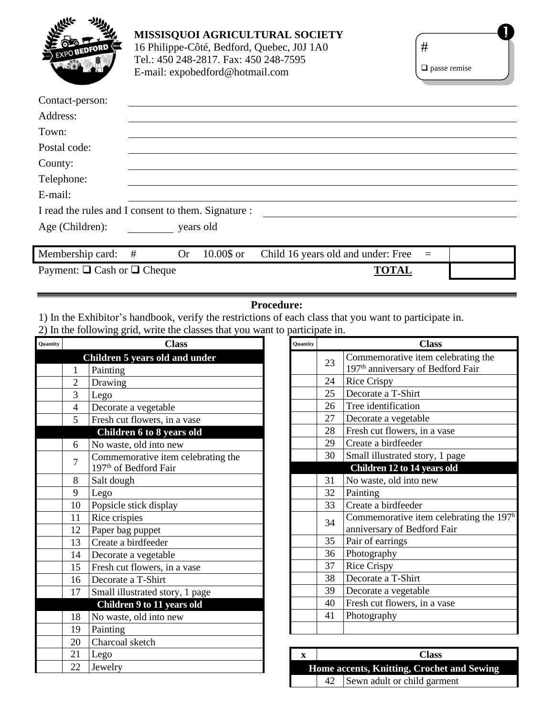| <b>BEDFOR</b> |
|---------------|
|               |
|               |

## **MISSISQUOI AGRICULTURAL SOCIETY** 16 Philippe-Côté, Bedford, Quebec, J0J 1A0 Tel.: 450 248-2817. Fax: 450 248-7595 E-mail: [expobedford@hotmail.com](mailto:expobedford@hotmail.com)

| $\square$ passe remise |  |
|------------------------|--|

| Contact-person:                                     |   |           |            |                                    |          |  |
|-----------------------------------------------------|---|-----------|------------|------------------------------------|----------|--|
| Address:                                            |   |           |            |                                    |          |  |
| Town:                                               |   |           |            |                                    |          |  |
| Postal code:                                        |   |           |            |                                    |          |  |
| County:                                             |   |           |            |                                    |          |  |
| Telephone:                                          |   |           |            |                                    |          |  |
| E-mail:                                             |   |           |            |                                    |          |  |
| I read the rules and I consent to them. Signature : |   |           |            |                                    |          |  |
| Age (Children):                                     |   | years old |            |                                    |          |  |
|                                                     |   |           |            |                                    |          |  |
| Membership card:                                    | # | <b>Or</b> | 10.00\$ or | Child 16 years old and under: Free | $\equiv$ |  |
| Payment: $\Box$ Cash or $\Box$ Cheque               |   |           |            | <b>TOTAL</b>                       |          |  |

## **Procedure:**

1) In the Exhibitor's handbook, verify the restrictions of each class that you want to participate in. 2) In the following grid, write the classes that you want to participate in.

| Quantity | <b>Class</b>   |                                    |  |  |
|----------|----------------|------------------------------------|--|--|
|          |                | Children 5 years old and under     |  |  |
|          | 1              | Painting                           |  |  |
|          | $\overline{2}$ | Drawing                            |  |  |
|          | 3              | Lego                               |  |  |
|          | $\overline{4}$ | Decorate a vegetable               |  |  |
|          | 5              | Fresh cut flowers, in a vase       |  |  |
|          |                | Children 6 to 8 years old          |  |  |
|          | 6              | No waste, old into new             |  |  |
|          | 7              | Commemorative item celebrating the |  |  |
|          |                | 197 <sup>th</sup> of Bedford Fair  |  |  |
|          | 8              | Salt dough                         |  |  |
|          | 9              | Lego                               |  |  |
|          | 10             | Popsicle stick display             |  |  |
|          | 11             | Rice crispies                      |  |  |
|          | 12             | Paper bag puppet                   |  |  |
|          | 13             | Create a birdfeeder                |  |  |
|          | 14             | Decorate a vegetable               |  |  |
|          | 15             | Fresh cut flowers, in a vase       |  |  |
|          | 16             | Decorate a T-Shirt                 |  |  |
|          | 17             | Small illustrated story, 1 page    |  |  |
|          |                | Children 9 to 11 years old         |  |  |
|          | 18             | No waste, old into new             |  |  |
|          | 19             | Painting                           |  |  |
|          | 20             | Charcoal sketch                    |  |  |
|          | 21             | Lego                               |  |  |
|          | 22             | Jewelry                            |  |  |

| Quantity |    | <b>Class</b>                                                             |
|----------|----|--------------------------------------------------------------------------|
|          | 23 | Commemorative item celebrating the                                       |
|          |    | 197 <sup>th</sup> anniversary of Bedford Fair                            |
|          | 24 | <b>Rice Crispy</b>                                                       |
|          | 25 | Decorate a T-Shirt                                                       |
|          | 26 | Tree identification                                                      |
|          | 27 | Decorate a vegetable                                                     |
|          | 28 | Fresh cut flowers, in a vase                                             |
|          | 29 | Create a birdfeeder                                                      |
|          | 30 | Small illustrated story, 1 page                                          |
|          |    | Children 12 to 14 years old                                              |
|          | 31 | No waste, old into new                                                   |
|          | 32 | Painting                                                                 |
|          | 33 | Create a birdfeeder                                                      |
|          | 34 | Commemorative item celebrating the $197h$<br>anniversary of Bedford Fair |
|          | 35 | Pair of earrings                                                         |
|          | 36 | Photography                                                              |
|          | 37 | <b>Rice Crispy</b>                                                       |
|          | 38 | Decorate a T-Shirt                                                       |
|          | 39 | Decorate a vegetable                                                     |
|          | 40 | Fresh cut flowers, in a vase                                             |
|          | 41 | Photography                                                              |
|          |    |                                                                          |

|                                            | <b>Class</b>                   |  |  |
|--------------------------------------------|--------------------------------|--|--|
| Home accents, Knitting, Crochet and Sewing |                                |  |  |
|                                            | 42 Sewn adult or child garment |  |  |